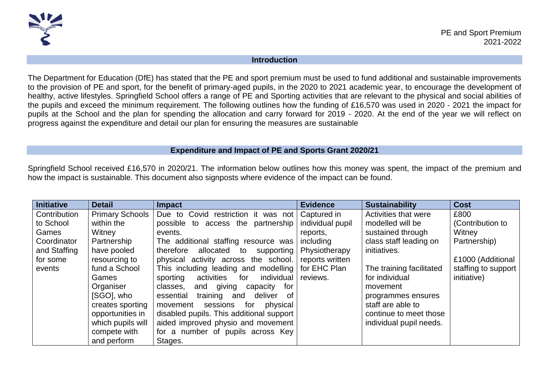

## **Introduction**

The Department for Education (DfE) has stated that the PE and sport premium must be used to fund additional and sustainable improvements to the provision of PE and sport, for the benefit of primary-aged pupils, in the 2020 to 2021 academic year, to encourage the development of healthy, active lifestyles. Springfield School offers a range of PE and Sporting activities that are relevant to the physical and social abilities of the pupils and exceed the minimum requirement. The following outlines how the funding of £16,570 was used in 2020 - 2021 the impact for pupils at the School and the plan for spending the allocation and carry forward for 2019 - 2020. At the end of the year we will reflect on progress against the expenditure and detail our plan for ensuring the measures are sustainable

## **Expenditure and Impact of PE and Sports Grant 2020/21**

Springfield School received £16,570 in 2020/21. The information below outlines how this money was spent, the impact of the premium and how the impact is sustainable. This document also signposts where evidence of the impact can be found.

| <b>Initiative</b> | <b>Detail</b>          | <b>Impact</b>                               | <b>Evidence</b>  | <b>Sustainability</b>    | <b>Cost</b>         |
|-------------------|------------------------|---------------------------------------------|------------------|--------------------------|---------------------|
| Contribution      | <b>Primary Schools</b> | Due to Covid restriction it was not         | Captured in      | Activities that were     | £800                |
| to School         | within the             | possible to access the partnership          | individual pupil | modelled will be         | (Contribution to    |
| Games             | Witney                 | events.                                     | reports,         | sustained through        | Witney              |
| Coordinator       | Partnership            | The additional staffing resource was        | including        | class staff leading on   | Partnership)        |
| and Staffing      | have pooled            | allocated to<br>therefore<br>supporting     | Physiotherapy    | initiatives.             |                     |
| for some          | resourcing to          | physical activity across the school.        | reports written  |                          | £1000 (Additional   |
| events            | fund a School          | This including leading and modelling        | for EHC Plan     | The training facilitated | staffing to support |
|                   | Games                  | activities<br>individual<br>sporting<br>for | reviews.         | for individual           | initiative)         |
|                   | Organiser              | and giving capacity for<br>classes.         |                  | movement                 |                     |
|                   | [SGO], who             | training and<br>deliver of<br>essential     |                  | programmes ensures       |                     |
|                   | creates sporting       | movement<br>sessions<br>physical<br>for     |                  | staff are able to        |                     |
|                   | opportunities in       | disabled pupils. This additional support    |                  | continue to meet those   |                     |
|                   | which pupils will      | aided improved physio and movement          |                  | individual pupil needs.  |                     |
|                   | compete with           | for a number of pupils across Key           |                  |                          |                     |
|                   | and perform            | Stages.                                     |                  |                          |                     |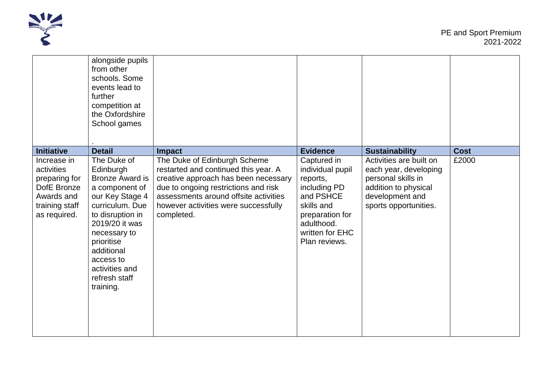

|                                                                                                           | alongside pupils<br>from other<br>schools, Some<br>events lead to<br>further<br>competition at<br>the Oxfordshire<br>School games                                                                                                                         |                                                                                                                                                                                                                                                     |                                                                                                                                                             |                                                                                                                                            |             |
|-----------------------------------------------------------------------------------------------------------|-----------------------------------------------------------------------------------------------------------------------------------------------------------------------------------------------------------------------------------------------------------|-----------------------------------------------------------------------------------------------------------------------------------------------------------------------------------------------------------------------------------------------------|-------------------------------------------------------------------------------------------------------------------------------------------------------------|--------------------------------------------------------------------------------------------------------------------------------------------|-------------|
| <b>Initiative</b>                                                                                         | <b>Detail</b>                                                                                                                                                                                                                                             | <b>Impact</b>                                                                                                                                                                                                                                       | <b>Evidence</b>                                                                                                                                             | <b>Sustainability</b>                                                                                                                      | <b>Cost</b> |
| Increase in<br>activities<br>preparing for<br>DofE Bronze<br>Awards and<br>training staff<br>as required. | The Duke of<br>Edinburgh<br><b>Bronze Award is</b><br>a component of<br>our Key Stage 4<br>curriculum. Due<br>to disruption in<br>2019/20 it was<br>necessary to<br>prioritise<br>additional<br>access to<br>activities and<br>refresh staff<br>training. | The Duke of Edinburgh Scheme<br>restarted and continued this year. A<br>creative approach has been necessary<br>due to ongoing restrictions and risk<br>assessments around offsite activities<br>however activities were successfully<br>completed. | Captured in<br>individual pupil<br>reports,<br>including PD<br>and PSHCE<br>skills and<br>preparation for<br>adulthood.<br>written for EHC<br>Plan reviews. | Activities are built on<br>each year, developing<br>personal skills in<br>addition to physical<br>development and<br>sports opportunities. | £2000       |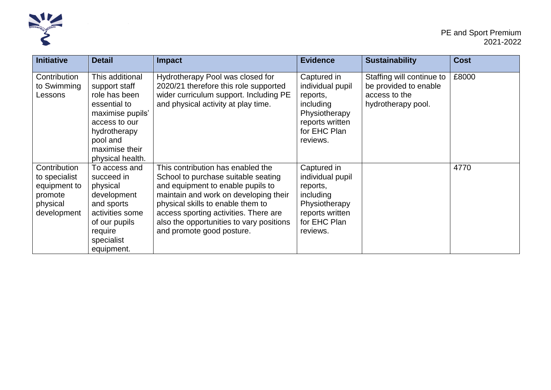

| <b>Initiative</b>                                                                   | <b>Detail</b>                                                                                                                                                            | <b>Impact</b>                                                                                                                                                                                                                                                                                                 | <b>Evidence</b>                                                                                                          | <b>Sustainability</b>                                                                     | <b>Cost</b> |
|-------------------------------------------------------------------------------------|--------------------------------------------------------------------------------------------------------------------------------------------------------------------------|---------------------------------------------------------------------------------------------------------------------------------------------------------------------------------------------------------------------------------------------------------------------------------------------------------------|--------------------------------------------------------------------------------------------------------------------------|-------------------------------------------------------------------------------------------|-------------|
| Contribution<br>to Swimming<br>Lessons                                              | This additional<br>support staff<br>role has been<br>essential to<br>maximise pupils'<br>access to our<br>hydrotherapy<br>pool and<br>maximise their<br>physical health. | Hydrotherapy Pool was closed for<br>2020/21 therefore this role supported<br>wider curriculum support. Including PE<br>and physical activity at play time.                                                                                                                                                    | Captured in<br>individual pupil<br>reports,<br>including<br>Physiotherapy<br>reports written<br>for EHC Plan<br>reviews. | Staffing will continue to<br>be provided to enable<br>access to the<br>hydrotherapy pool. | £8000       |
| Contribution<br>to specialist<br>equipment to<br>promote<br>physical<br>development | To access and<br>succeed in<br>physical<br>development<br>and sports<br>activities some<br>of our pupils<br>require<br>specialist<br>equipment.                          | This contribution has enabled the<br>School to purchase suitable seating<br>and equipment to enable pupils to<br>maintain and work on developing their<br>physical skills to enable them to<br>access sporting activities. There are<br>also the opportunities to vary positions<br>and promote good posture. | Captured in<br>individual pupil<br>reports,<br>including<br>Physiotherapy<br>reports written<br>for EHC Plan<br>reviews. |                                                                                           | 4770        |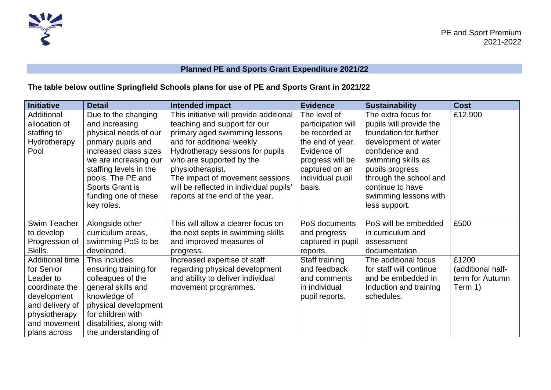

## **Planned PE and Sports Grant Expenditure 2021/22**

## **The table below outline Springfield Schools plans for use of PE and Sports Grant in 2021/22**

| <b>Initiative</b> | <b>Detail</b>            | Intended impact                         | <b>Evidence</b>    | <b>Sustainability</b>   | <b>Cost</b>       |
|-------------------|--------------------------|-----------------------------------------|--------------------|-------------------------|-------------------|
| Additional        | Due to the changing      | This initiative will provide additional | The level of       | The extra focus for     | £12,900           |
| allocation of     | and increasing           | teaching and support for our            | participation will | pupils will provide the |                   |
| staffing to       | physical needs of our    | primary aged swimming lessons           | be recorded at     | foundation for further  |                   |
| Hydrotherapy      | primary pupils and       | and for additional weekly               | the end of year.   | development of water    |                   |
| Pool              | increased class sizes    | Hydrotherapy sessions for pupils        | Evidence of        | confidence and          |                   |
|                   | we are increasing our    | who are supported by the                | progress will be   | swimming skills as      |                   |
|                   | staffing levels in the   | physiotherapist.                        | captured on an     | pupils progress         |                   |
|                   | pools. The PE and        | The impact of movement sessions         | individual pupil   | through the school and  |                   |
|                   | Sports Grant is          | will be reflected in individual pupils' | basis.             | continue to have        |                   |
|                   | funding one of these     | reports at the end of the year.         |                    | swimming lessons with   |                   |
|                   | key roles.               |                                         |                    | less support.           |                   |
|                   |                          |                                         |                    |                         |                   |
| Swim Teacher      | Alongside other          | This will allow a clearer focus on      | PoS documents      | PoS will be embedded    | £500              |
| to develop        | curriculum areas,        | the next septs in swimming skills       | and progress       | in curriculum and       |                   |
| Progression of    | swimming PoS to be       | and improved measures of                | captured in pupil  | assessment              |                   |
| Skills.           | developed.               | progress.                               | reports.           | documentation.          |                   |
| Additional time   | This includes            | Increased expertise of staff            | Staff training     | The additional focus    | £1200             |
| for Senior        | ensuring training for    | regarding physical development          | and feedback       | for staff will continue | (additional half- |
| Leader to         | colleagues of the        | and ability to deliver individual       | and comments       | and be embedded in      | term for Autumn   |
| coordinate the    | general skills and       | movement programmes.                    | in individual      | Induction and training  | Term 1)           |
| development       | knowledge of             |                                         | pupil reports.     | schedules.              |                   |
| and delivery of   | physical development     |                                         |                    |                         |                   |
| physiotherapy     | for children with        |                                         |                    |                         |                   |
| and movement      | disabilities, along with |                                         |                    |                         |                   |
| plans across      | the understanding of     |                                         |                    |                         |                   |